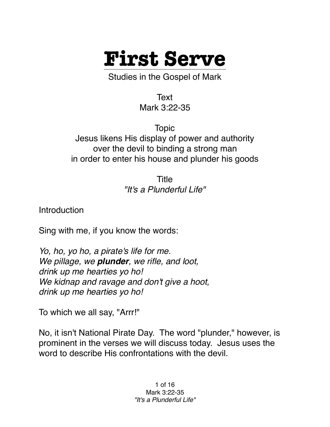

Studies in the Gospel of Mark

Text Mark 3:22-35

Topic Jesus likens His display of power and authority over the devil to binding a strong man in order to enter his house and plunder his goods

> Title *"It's a Plunderful Life"*

**Introduction** 

Sing with me, if you know the words:

*Yo, ho, yo ho, a pirate's life for me. We pillage, we plunder, we rifle, and loot, drink up me hearties yo ho! We kidnap and ravage and don't give a hoot, drink up me hearties yo ho!*

To which we all say, "Arrr!"

No, it isn't National Pirate Day. The word "plunder," however, is prominent in the verses we will discuss today. Jesus uses the word to describe His confrontations with the devil.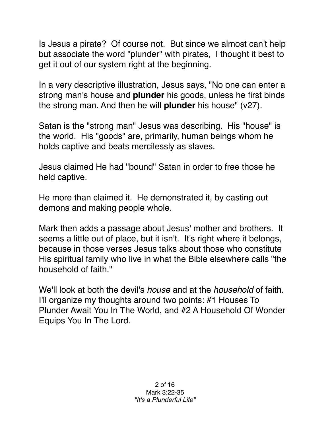Is Jesus a pirate? Of course not. But since we almost can't help but associate the word "plunder" with pirates, I thought it best to get it out of our system right at the beginning.

In a very descriptive illustration, Jesus says, "No one can enter a strong man's house and **plunder** his goods, unless he first binds the strong man. And then he will **plunder** his house" (v27).

Satan is the "strong man" Jesus was describing. His "house" is the world. His "goods" are, primarily, human beings whom he holds captive and beats mercilessly as slaves.

Jesus claimed He had "bound" Satan in order to free those he held captive.

He more than claimed it. He demonstrated it, by casting out demons and making people whole.

Mark then adds a passage about Jesus' mother and brothers. It seems a little out of place, but it isn't. It's right where it belongs, because in those verses Jesus talks about those who constitute His spiritual family who live in what the Bible elsewhere calls "the household of faith."

We'll look at both the devil's *house* and at the *household* of faith. I'll organize my thoughts around two points: #1 Houses To Plunder Await You In The World, and #2 A Household Of Wonder Equips You In The Lord.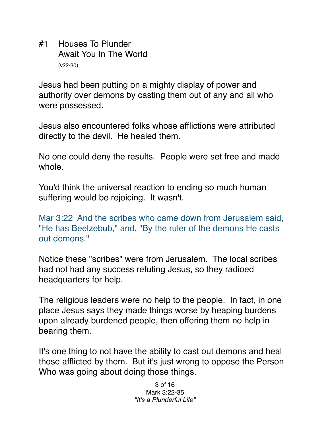#1 Houses To Plunder Await You In The World (v22-30)

Jesus had been putting on a mighty display of power and authority over demons by casting them out of any and all who were possessed.

Jesus also encountered folks whose afflictions were attributed directly to the devil. He healed them.

No one could deny the results. People were set free and made whole.

You'd think the universal reaction to ending so much human suffering would be rejoicing. It wasn't.

Mar 3:22 And the scribes who came down from Jerusalem said, "He has Beelzebub," and, "By the ruler of the demons He casts out demons."

Notice these "scribes" were from Jerusalem. The local scribes had not had any success refuting Jesus, so they radioed headquarters for help.

The religious leaders were no help to the people. In fact, in one place Jesus says they made things worse by heaping burdens upon already burdened people, then offering them no help in bearing them.

It's one thing to not have the ability to cast out demons and heal those afflicted by them. But it's just wrong to oppose the Person Who was going about doing those things.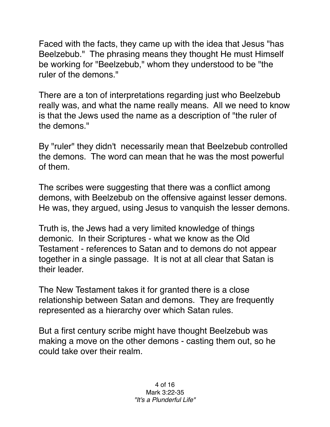Faced with the facts, they came up with the idea that Jesus "has Beelzebub." The phrasing means they thought He must Himself be working for "Beelzebub," whom they understood to be "the ruler of the demons."

There are a ton of interpretations regarding just who Beelzebub really was, and what the name really means. All we need to know is that the Jews used the name as a description of "the ruler of the demons."

By "ruler" they didn't necessarily mean that Beelzebub controlled the demons. The word can mean that he was the most powerful of them.

The scribes were suggesting that there was a conflict among demons, with Beelzebub on the offensive against lesser demons. He was, they argued, using Jesus to vanquish the lesser demons.

Truth is, the Jews had a very limited knowledge of things demonic. In their Scriptures - what we know as the Old Testament - references to Satan and to demons do not appear together in a single passage. It is not at all clear that Satan is their leader.

The New Testament takes it for granted there is a close relationship between Satan and demons. They are frequently represented as a hierarchy over which Satan rules.

But a first century scribe might have thought Beelzebub was making a move on the other demons - casting them out, so he could take over their realm.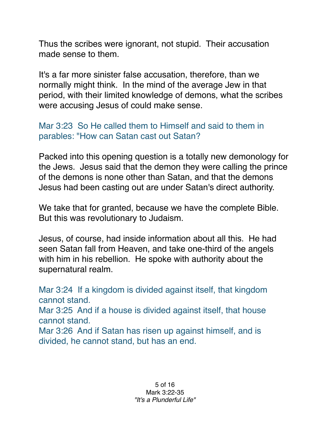Thus the scribes were ignorant, not stupid. Their accusation made sense to them.

It's a far more sinister false accusation, therefore, than we normally might think. In the mind of the average Jew in that period, with their limited knowledge of demons, what the scribes were accusing Jesus of could make sense.

## Mar 3:23 So He called them to Himself and said to them in parables: "How can Satan cast out Satan?

Packed into this opening question is a totally new demonology for the Jews. Jesus said that the demon they were calling the prince of the demons is none other than Satan, and that the demons Jesus had been casting out are under Satan's direct authority.

We take that for granted, because we have the complete Bible. But this was revolutionary to Judaism.

Jesus, of course, had inside information about all this. He had seen Satan fall from Heaven, and take one-third of the angels with him in his rebellion. He spoke with authority about the supernatural realm.

Mar 3:24 If a kingdom is divided against itself, that kingdom cannot stand. Mar 3:25 And if a house is divided against itself, that house cannot stand. Mar 3:26 And if Satan has risen up against himself, and is divided, he cannot stand, but has an end.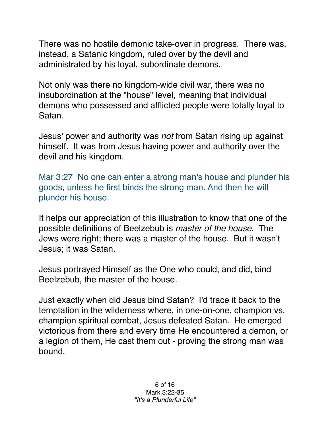There was no hostile demonic take-over in progress. There was, instead, a Satanic kingdom, ruled over by the devil and administrated by his loyal, subordinate demons.

Not only was there no kingdom-wide civil war, there was no insubordination at the "house" level, meaning that individual demons who possessed and afflicted people were totally loyal to Satan.

Jesus' power and authority was *not* from Satan rising up against himself. It was from Jesus having power and authority over the devil and his kingdom.

Mar 3:27 No one can enter a strong man's house and plunder his goods, unless he first binds the strong man. And then he will plunder his house.

It helps our appreciation of this illustration to know that one of the possible definitions of Beelzebub is *master of the house*. The Jews were right; there was a master of the house. But it wasn't Jesus; it was Satan.

Jesus portrayed Himself as the One who could, and did, bind Beelzebub, the master of the house.

Just exactly when did Jesus bind Satan? I'd trace it back to the temptation in the wilderness where, in one-on-one, champion vs. champion spiritual combat, Jesus defeated Satan. He emerged victorious from there and every time He encountered a demon, or a legion of them, He cast them out - proving the strong man was bound.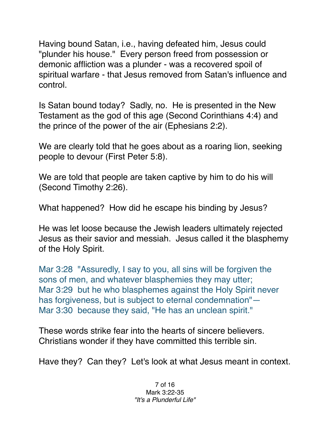Having bound Satan, i.e., having defeated him, Jesus could "plunder his house." Every person freed from possession or demonic affliction was a plunder - was a recovered spoil of spiritual warfare - that Jesus removed from Satan's influence and control.

Is Satan bound today? Sadly, no. He is presented in the New Testament as the god of this age (Second Corinthians 4:4) and the prince of the power of the air (Ephesians 2:2).

We are clearly told that he goes about as a roaring lion, seeking people to devour (First Peter 5:8).

We are told that people are taken captive by him to do his will (Second Timothy 2:26).

What happened? How did he escape his binding by Jesus?

He was let loose because the Jewish leaders ultimately rejected Jesus as their savior and messiah. Jesus called it the blasphemy of the Holy Spirit.

Mar 3:28 "Assuredly, I say to you, all sins will be forgiven the sons of men, and whatever blasphemies they may utter; Mar 3:29 but he who blasphemes against the Holy Spirit never has forgiveness, but is subject to eternal condemnation"— Mar 3:30 because they said, "He has an unclean spirit."

These words strike fear into the hearts of sincere believers. Christians wonder if they have committed this terrible sin.

Have they? Can they? Let's look at what Jesus meant in context.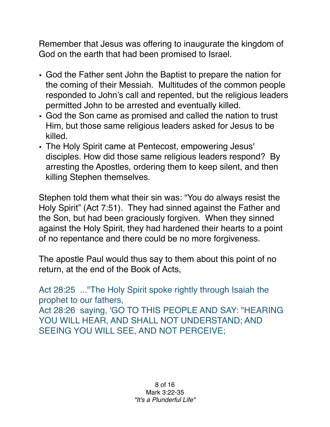Remember that Jesus was offering to inaugurate the kingdom of God on the earth that had been promised to Israel.

- God the Father sent John the Baptist to prepare the nation for the coming of their Messiah. Multitudes of the common people responded to John's call and repented, but the religious leaders permitted John to be arrested and eventually killed.
- God the Son came as promised and called the nation to trust Him, but those same religious leaders asked for Jesus to be killed.
- The Holy Spirit came at Pentecost, empowering Jesus' disciples. How did those same religious leaders respond? By arresting the Apostles, ordering them to keep silent, and then killing Stephen themselves.

Stephen told them what their sin was: "You do always resist the Holy Spirit" (Act 7:51). They had sinned against the Father and the Son, but had been graciously forgiven. When they sinned against the Holy Spirit, they had hardened their hearts to a point of no repentance and there could be no more forgiveness.

The apostle Paul would thus say to them about this point of no return, at the end of the Book of Acts,

Act 28:25 ..."The Holy Spirit spoke rightly through Isaiah the prophet to our fathers, Act 28:26 saying, 'GO TO THIS PEOPLE AND SAY: "HEARING YOU WILL HEAR, AND SHALL NOT UNDERSTAND; AND SEEING YOU WILL SEE, AND NOT PERCEIVE;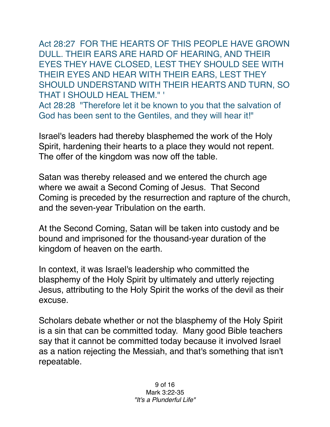Act 28:27 FOR THE HEARTS OF THIS PEOPLE HAVE GROWN DULL. THEIR EARS ARE HARD OF HEARING, AND THEIR EYES THEY HAVE CLOSED, LEST THEY SHOULD SEE WITH THEIR EYES AND HEAR WITH THEIR EARS, LEST THEY SHOULD UNDERSTAND WITH THEIR HEARTS AND TURN, SO THAT I SHOULD HEAL THEM." '

Act 28:28 "Therefore let it be known to you that the salvation of God has been sent to the Gentiles, and they will hear it!"

Israel's leaders had thereby blasphemed the work of the Holy Spirit, hardening their hearts to a place they would not repent. The offer of the kingdom was now off the table.

Satan was thereby released and we entered the church age where we await a Second Coming of Jesus. That Second Coming is preceded by the resurrection and rapture of the church, and the seven-year Tribulation on the earth.

At the Second Coming, Satan will be taken into custody and be bound and imprisoned for the thousand-year duration of the kingdom of heaven on the earth.

In context, it was Israel's leadership who committed the blasphemy of the Holy Spirit by ultimately and utterly rejecting Jesus, attributing to the Holy Spirit the works of the devil as their excuse.

Scholars debate whether or not the blasphemy of the Holy Spirit is a sin that can be committed today. Many good Bible teachers say that it cannot be committed today because it involved Israel as a nation rejecting the Messiah, and that's something that isn't repeatable.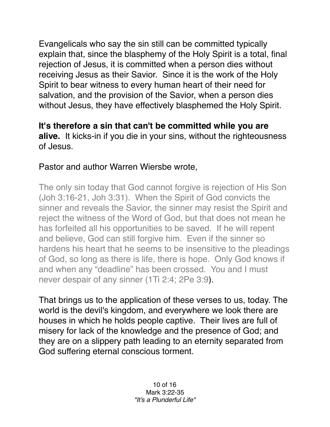Evangelicals who say the sin still can be committed typically explain that, since the blasphemy of the Holy Spirit is a total, final rejection of Jesus, it is committed when a person dies without receiving Jesus as their Savior. Since it is the work of the Holy Spirit to bear witness to every human heart of their need for salvation, and the provision of the Savior, when a person dies without Jesus, they have effectively blasphemed the Holy Spirit.

## **It's therefore a sin that can't be committed while you are**

**alive.** It kicks-in if you die in your sins, without the righteousness of Jesus.

## Pastor and author Warren Wiersbe wrote,

The only sin today that God cannot forgive is rejection of His Son (Joh 3:16-21, Joh 3:31). When the Spirit of God convicts the sinner and reveals the Savior, the sinner may resist the Spirit and reject the witness of the Word of God, but that does not mean he has forfeited all his opportunities to be saved. If he will repent and believe, God can still forgive him. Even if the sinner so hardens his heart that he seems to be insensitive to the pleadings of God, so long as there is life, there is hope. Only God knows if and when any "deadline" has been crossed. You and I must never despair of any sinner (1Ti 2:4; 2Pe 3:9).

That brings us to the application of these verses to us, today. The world is the devil's kingdom, and everywhere we look there are houses in which he holds people captive. Their lives are full of misery for lack of the knowledge and the presence of God; and they are on a slippery path leading to an eternity separated from God suffering eternal conscious torment.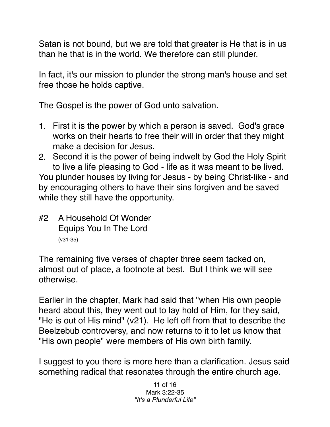Satan is not bound, but we are told that greater is He that is in us than he that is in the world. We therefore can still plunder.

In fact, it's our mission to plunder the strong man's house and set free those he holds captive.

The Gospel is the power of God unto salvation.

- 1. First it is the power by which a person is saved. God's grace works on their hearts to free their will in order that they might make a decision for Jesus.
- 2. Second it is the power of being indwelt by God the Holy Spirit to live a life pleasing to God - life as it was meant to be lived.

You plunder houses by living for Jesus - by being Christ-like - and by encouraging others to have their sins forgiven and be saved while they still have the opportunity.

#2 A Household Of Wonder Equips You In The Lord (v31-35)

The remaining five verses of chapter three seem tacked on, almost out of place, a footnote at best. But I think we will see otherwise.

Earlier in the chapter, Mark had said that "when His own people heard about this, they went out to lay hold of Him, for they said, "He is out of His mind" (v21). He left off from that to describe the Beelzebub controversy, and now returns to it to let us know that "His own people" were members of His own birth family.

I suggest to you there is more here than a clarification. Jesus said something radical that resonates through the entire church age.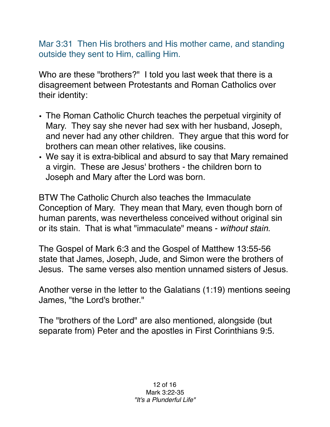Mar 3:31 Then His brothers and His mother came, and standing outside they sent to Him, calling Him.

Who are these "brothers?" I told you last week that there is a disagreement between Protestants and Roman Catholics over their identity:

- The Roman Catholic Church teaches the perpetual virginity of Mary. They say she never had sex with her husband, Joseph, and never had any other children. They argue that this word for brothers can mean other relatives, like cousins.
- We say it is extra-biblical and absurd to say that Mary remained a virgin. These are Jesus' brothers - the children born to Joseph and Mary after the Lord was born.

BTW The Catholic Church also teaches the Immaculate Conception of Mary. They mean that Mary, even though born of human parents, was nevertheless conceived without original sin or its stain. That is what "immaculate" means - *without stain*.

The Gospel of Mark 6:3 and the Gospel of Matthew 13:55-56 state that James, Joseph, Jude, and Simon were the brothers of Jesus. The same verses also mention unnamed sisters of Jesus.

Another verse in the letter to the Galatians (1:19) mentions seeing James, "the Lord's brother."

The "brothers of the Lord" are also mentioned, alongside (but separate from) Peter and the apostles in First Corinthians 9:5.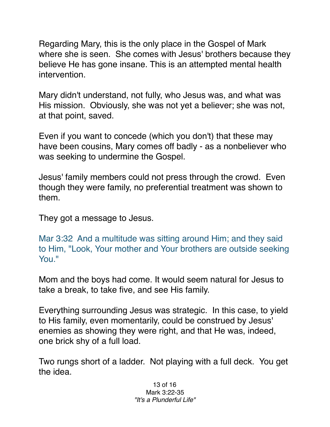Regarding Mary, this is the only place in the Gospel of Mark where she is seen. She comes with Jesus' brothers because they believe He has gone insane. This is an attempted mental health intervention.

Mary didn't understand, not fully, who Jesus was, and what was His mission. Obviously, she was not yet a believer; she was not, at that point, saved.

Even if you want to concede (which you don't) that these may have been cousins, Mary comes off badly - as a nonbeliever who was seeking to undermine the Gospel.

Jesus' family members could not press through the crowd. Even though they were family, no preferential treatment was shown to them.

They got a message to Jesus.

Mar 3:32 And a multitude was sitting around Him; and they said to Him, "Look, Your mother and Your brothers are outside seeking You."

Mom and the boys had come. It would seem natural for Jesus to take a break, to take five, and see His family.

Everything surrounding Jesus was strategic. In this case, to yield to His family, even momentarily, could be construed by Jesus' enemies as showing they were right, and that He was, indeed, one brick shy of a full load.

Two rungs short of a ladder. Not playing with a full deck. You get the idea.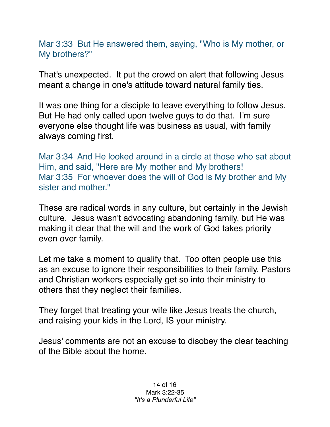## Mar 3:33 But He answered them, saying, "Who is My mother, or My brothers?"

That's unexpected. It put the crowd on alert that following Jesus meant a change in one's attitude toward natural family ties.

It was one thing for a disciple to leave everything to follow Jesus. But He had only called upon twelve guys to do that. I'm sure everyone else thought life was business as usual, with family always coming first.

Mar 3:34 And He looked around in a circle at those who sat about Him, and said, "Here are My mother and My brothers! Mar 3:35 For whoever does the will of God is My brother and My sister and mother."

These are radical words in any culture, but certainly in the Jewish culture. Jesus wasn't advocating abandoning family, but He was making it clear that the will and the work of God takes priority even over family.

Let me take a moment to qualify that. Too often people use this as an excuse to ignore their responsibilities to their family. Pastors and Christian workers especially get so into their ministry to others that they neglect their families.

They forget that treating your wife like Jesus treats the church, and raising your kids in the Lord, IS your ministry.

Jesus' comments are not an excuse to disobey the clear teaching of the Bible about the home.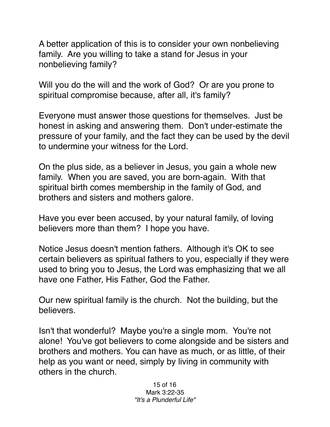A better application of this is to consider your own nonbelieving family. Are you willing to take a stand for Jesus in your nonbelieving family?

Will you do the will and the work of God? Or are you prone to spiritual compromise because, after all, it's family?

Everyone must answer those questions for themselves. Just be honest in asking and answering them. Don't under-estimate the pressure of your family, and the fact they can be used by the devil to undermine your witness for the Lord.

On the plus side, as a believer in Jesus, you gain a whole new family. When you are saved, you are born-again. With that spiritual birth comes membership in the family of God, and brothers and sisters and mothers galore.

Have you ever been accused, by your natural family, of loving believers more than them? I hope you have.

Notice Jesus doesn't mention fathers. Although it's OK to see certain believers as spiritual fathers to you, especially if they were used to bring you to Jesus, the Lord was emphasizing that we all have one Father, His Father, God the Father.

Our new spiritual family is the church. Not the building, but the believers.

Isn't that wonderful? Maybe you're a single mom. You're not alone! You've got believers to come alongside and be sisters and brothers and mothers. You can have as much, or as little, of their help as you want or need, simply by living in community with others in the church.